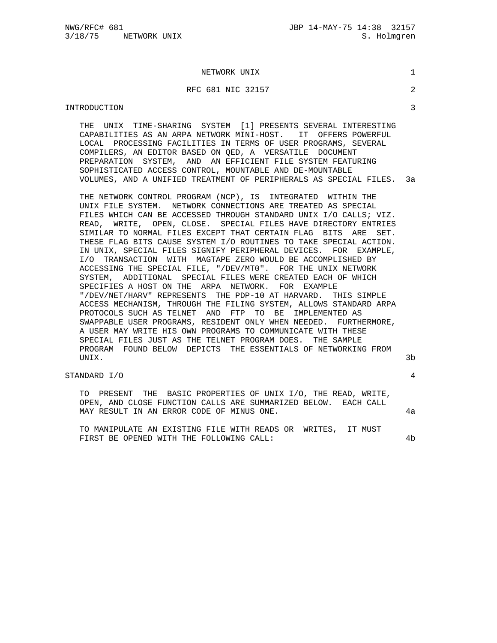#### NETWORK UNIX 1

### RFC 681 NIC 32157 2

#### INTRODUCTION 3

 THE UNIX TIME-SHARING SYSTEM [1] PRESENTS SEVERAL INTERESTING CAPABILITIES AS AN ARPA NETWORK MINI-HOST. IT OFFERS POWERFUL LOCAL PROCESSING FACILITIES IN TERMS OF USER PROGRAMS, SEVERAL COMPILERS, AN EDITOR BASED ON QED, A VERSATILE DOCUMENT PREPARATION SYSTEM, AND AN EFFICIENT FILE SYSTEM FEATURING SOPHISTICATED ACCESS CONTROL, MOUNTABLE AND DE-MOUNTABLE VOLUMES, AND A UNIFIED TREATMENT OF PERIPHERALS AS SPECIAL FILES. 3a

 THE NETWORK CONTROL PROGRAM (NCP), IS INTEGRATED WITHIN THE UNIX FILE SYSTEM. NETWORK CONNECTIONS ARE TREATED AS SPECIAL FILES WHICH CAN BE ACCESSED THROUGH STANDARD UNIX I/O CALLS; VIZ. READ, WRITE, OPEN, CLOSE. SPECIAL FILES HAVE DIRECTORY ENTRIES SIMILAR TO NORMAL FILES EXCEPT THAT CERTAIN FLAG BITS ARE SET. THESE FLAG BITS CAUSE SYSTEM I/O ROUTINES TO TAKE SPECIAL ACTION. IN UNIX, SPECIAL FILES SIGNIFY PERIPHERAL DEVICES. FOR EXAMPLE, I/O TRANSACTION WITH MAGTAPE ZERO WOULD BE ACCOMPLISHED BY ACCESSING THE SPECIAL FILE, "/DEV/MT0". FOR THE UNIX NETWORK SYSTEM, ADDITIONAL SPECIAL FILES WERE CREATED EACH OF WHICH SPECIFIES A HOST ON THE ARPA NETWORK. FOR EXAMPLE "/DEV/NET/HARV" REPRESENTS THE PDP-10 AT HARVARD. THIS SIMPLE ACCESS MECHANISM, THROUGH THE FILING SYSTEM, ALLOWS STANDARD ARPA PROTOCOLS SUCH AS TELNET AND FTP TO BE IMPLEMENTED AS SWAPPABLE USER PROGRAMS, RESIDENT ONLY WHEN NEEDED. FURTHERMORE, A USER MAY WRITE HIS OWN PROGRAMS TO COMMUNICATE WITH THESE SPECIAL FILES JUST AS THE TELNET PROGRAM DOES. THE SAMPLE PROGRAM FOUND BELOW DEPICTS THE ESSENTIALS OF NETWORKING FROM UNIX. 3b

# STANDARD I/O 4

 TO PRESENT THE BASIC PROPERTIES OF UNIX I/O, THE READ, WRITE, OPEN, AND CLOSE FUNCTION CALLS ARE SUMMARIZED BELOW. EACH CALL MAY RESULT IN AN ERROR CODE OF MINUS ONE. 4a

 TO MANIPULATE AN EXISTING FILE WITH READS OR WRITES, IT MUST FIRST BE OPENED WITH THE FOLLOWING CALL:  $4b$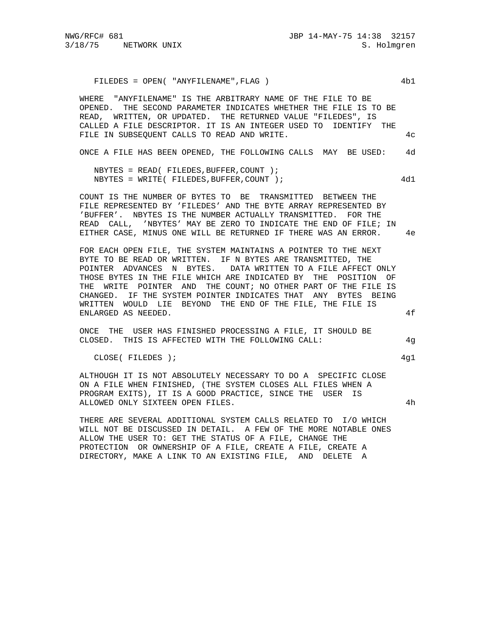FILEDES = OPEN( "ANYFILENAME",FLAG ) 4b1

 WHERE "ANYFILENAME" IS THE ARBITRARY NAME OF THE FILE TO BE OPENED. THE SECOND PARAMETER INDICATES WHETHER THE FILE IS TO BE READ, WRITTEN, OR UPDATED. THE RETURNED VALUE "FILEDES", IS CALLED A FILE DESCRIPTOR. IT IS AN INTEGER USED TO IDENTIFY THE FILE IN SUBSEQUENT CALLS TO READ AND WRITE.  $4c$ 

ONCE A FILE HAS BEEN OPENED, THE FOLLOWING CALLS MAY BE USED: 4d

 NBYTES = READ( FILEDES,BUFFER,COUNT ); NBYTES = WRITE( FILEDES, BUFFER, COUNT ); 4d1

 COUNT IS THE NUMBER OF BYTES TO BE TRANSMITTED BETWEEN THE FILE REPRESENTED BY 'FILEDES' AND THE BYTE ARRAY REPRESENTED BY 'BUFFER'. NBYTES IS THE NUMBER ACTUALLY TRANSMITTED. FOR THE READ CALL, 'NBYTES' MAY BE ZERO TO INDICATE THE END OF FILE; IN EITHER CASE, MINUS ONE WILL BE RETURNED IF THERE WAS AN ERROR. 4e

 FOR EACH OPEN FILE, THE SYSTEM MAINTAINS A POINTER TO THE NEXT BYTE TO BE READ OR WRITTEN. IF N BYTES ARE TRANSMITTED, THE POINTER ADVANCES N BYTES. DATA WRITTEN TO A FILE AFFECT ONLY THOSE BYTES IN THE FILE WHICH ARE INDICATED BY THE POSITION OF THE WRITE POINTER AND THE COUNT; NO OTHER PART OF THE FILE IS CHANGED. IF THE SYSTEM POINTER INDICATES THAT ANY BYTES BEING WRITTEN WOULD LIE BEYOND THE END OF THE FILE, THE FILE IS ENLARGED AS NEEDED. 4f

 ONCE THE USER HAS FINISHED PROCESSING A FILE, IT SHOULD BE CLOSED. THIS IS AFFECTED WITH THE FOLLOWING CALL: 4g

CLOSE( FILEDES ); 4g1

 ALTHOUGH IT IS NOT ABSOLUTELY NECESSARY TO DO A SPECIFIC CLOSE ON A FILE WHEN FINISHED, (THE SYSTEM CLOSES ALL FILES WHEN A PROGRAM EXITS), IT IS A GOOD PRACTICE, SINCE THE USER IS ALLOWED ONLY SIXTEEN OPEN FILES. 4h

 THERE ARE SEVERAL ADDITIONAL SYSTEM CALLS RELATED TO I/O WHICH WILL NOT BE DISCUSSED IN DETAIL. A FEW OF THE MORE NOTABLE ONES ALLOW THE USER TO: GET THE STATUS OF A FILE, CHANGE THE PROTECTION OR OWNERSHIP OF A FILE, CREATE A FILE, CREATE A DIRECTORY, MAKE A LINK TO AN EXISTING FILE, AND DELETE A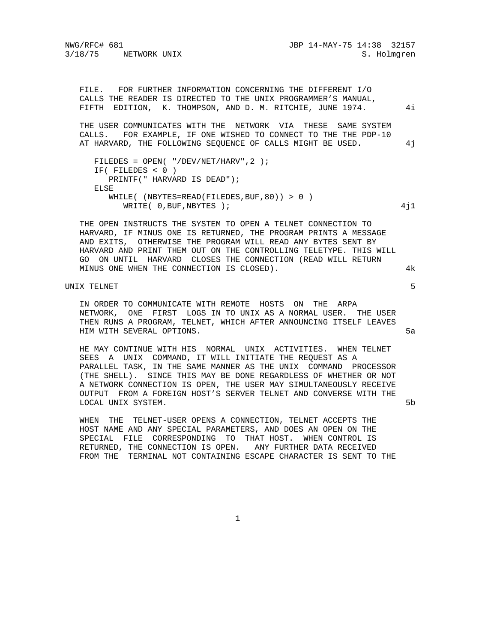NWG/RFC# 681 JBP 14-MAY-75 14:38 32157

 FILE. FOR FURTHER INFORMATION CONCERNING THE DIFFERENT I/O CALLS THE READER IS DIRECTED TO THE UNIX PROGRAMMER'S MANUAL, FIFTH EDITION, K. THOMPSON, AND D. M. RITCHIE, JUNE 1974. 4i THE USER COMMUNICATES WITH THE NETWORK VIA THESE SAME SYSTEM CALLS. FOR EXAMPLE, IF ONE WISHED TO CONNECT TO THE THE PDP-10 AT HARVARD, THE FOLLOWING SEQUENCE OF CALLS MIGHT BE USED. 4j FILEDES = OPEN( "/DEV/NET/HARV",2 ); IF( FILEDES < 0 ) PRINTF(" HARVARD IS DEAD"); ELSE WHILE(  $(NSYTES=READ(FILEDES, BUF, 80)) > 0)$ WRITE(  $0,$  BUF, NBYTES );  $4j1$ 

 THE OPEN INSTRUCTS THE SYSTEM TO OPEN A TELNET CONNECTION TO HARVARD, IF MINUS ONE IS RETURNED, THE PROGRAM PRINTS A MESSAGE AND EXITS, OTHERWISE THE PROGRAM WILL READ ANY BYTES SENT BY HARVARD AND PRINT THEM OUT ON THE CONTROLLING TELETYPE. THIS WILL GO ON UNTIL HARVARD CLOSES THE CONNECTION (READ WILL RETURN MINUS ONE WHEN THE CONNECTION IS CLOSED). 4k

UNIX TELNET 5

 IN ORDER TO COMMUNICATE WITH REMOTE HOSTS ON THE ARPA NETWORK, ONE FIRST LOGS IN TO UNIX AS A NORMAL USER. THE USER THEN RUNS A PROGRAM, TELNET, WHICH AFTER ANNOUNCING ITSELF LEAVES HIM WITH SEVERAL OPTIONS. 5a

 HE MAY CONTINUE WITH HIS NORMAL UNIX ACTIVITIES. WHEN TELNET SEES A UNIX COMMAND, IT WILL INITIATE THE REQUEST AS A PARALLEL TASK, IN THE SAME MANNER AS THE UNIX COMMAND PROCESSOR (THE SHELL). SINCE THIS MAY BE DONE REGARDLESS OF WHETHER OR NOT A NETWORK CONNECTION IS OPEN, THE USER MAY SIMULTANEOUSLY RECEIVE OUTPUT FROM A FOREIGN HOST'S SERVER TELNET AND CONVERSE WITH THE LOCAL UNIX SYSTEM. SAND THE SERVICE OF SERVICE SERVICE SERVICE SERVICE SERVICE SERVICE SERVICE SERVICE SERVICE

 WHEN THE TELNET-USER OPENS A CONNECTION, TELNET ACCEPTS THE HOST NAME AND ANY SPECIAL PARAMETERS, AND DOES AN OPEN ON THE SPECIAL FILE CORRESPONDING TO THAT HOST. WHEN CONTROL IS RETURNED, THE CONNECTION IS OPEN. ANY FURTHER DATA RECEIVED FROM THE TERMINAL NOT CONTAINING ESCAPE CHARACTER IS SENT TO THE

1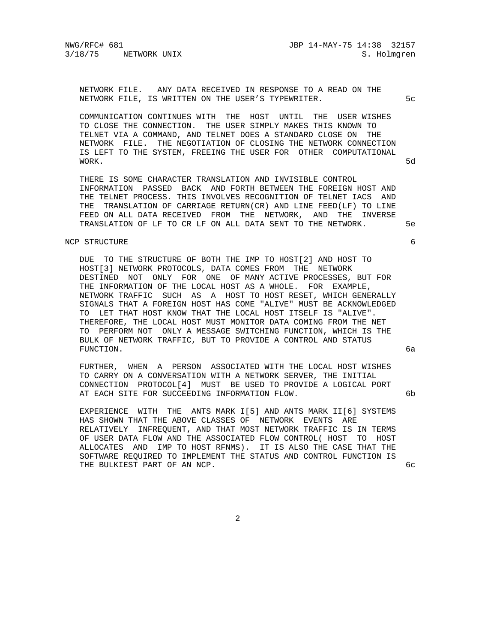NWG/RFC# 681 JBP 14-MAY-75 14:38 32157

 NETWORK FILE. ANY DATA RECEIVED IN RESPONSE TO A READ ON THE NETWORK FILE, IS WRITTEN ON THE USER'S TYPEWRITER.  $5c$ 

 COMMUNICATION CONTINUES WITH THE HOST UNTIL THE USER WISHES TO CLOSE THE CONNECTION. THE USER SIMPLY MAKES THIS KNOWN TO TELNET VIA A COMMAND, AND TELNET DOES A STANDARD CLOSE ON THE NETWORK FILE. THE NEGOTIATION OF CLOSING THE NETWORK CONNECTION IS LEFT TO THE SYSTEM, FREEING THE USER FOR OTHER COMPUTATIONAL WORK. 5d

 THERE IS SOME CHARACTER TRANSLATION AND INVISIBLE CONTROL INFORMATION PASSED BACK AND FORTH BETWEEN THE FOREIGN HOST AND THE TELNET PROCESS. THIS INVOLVES RECOGNITION OF TELNET IACS AND THE TRANSLATION OF CARRIAGE RETURN(CR) AND LINE FEED(LF) TO LINE FEED ON ALL DATA RECEIVED FROM THE NETWORK, AND THE INVERSE TRANSLATION OF LF TO CR LF ON ALL DATA SENT TO THE NETWORK. 5e

#### NCP STRUCTURE 6

 DUE TO THE STRUCTURE OF BOTH THE IMP TO HOST[2] AND HOST TO HOST[3] NETWORK PROTOCOLS, DATA COMES FROM THE NETWORK DESTINED NOT ONLY FOR ONE OF MANY ACTIVE PROCESSES, BUT FOR THE INFORMATION OF THE LOCAL HOST AS A WHOLE. FOR EXAMPLE, NETWORK TRAFFIC SUCH AS A HOST TO HOST RESET, WHICH GENERALLY SIGNALS THAT A FOREIGN HOST HAS COME "ALIVE" MUST BE ACKNOWLEDGED TO LET THAT HOST KNOW THAT THE LOCAL HOST ITSELF IS "ALIVE". THEREFORE, THE LOCAL HOST MUST MONITOR DATA COMING FROM THE NET TO PERFORM NOT ONLY A MESSAGE SWITCHING FUNCTION, WHICH IS THE BULK OF NETWORK TRAFFIC, BUT TO PROVIDE A CONTROL AND STATUS FUNCTION. 6a

 FURTHER, WHEN A PERSON ASSOCIATED WITH THE LOCAL HOST WISHES TO CARRY ON A CONVERSATION WITH A NETWORK SERVER, THE INITIAL CONNECTION PROTOCOL[4] MUST BE USED TO PROVIDE A LOGICAL PORT AT EACH SITE FOR SUCCEEDING INFORMATION FLOW. 6b

 EXPERIENCE WITH THE ANTS MARK I[5] AND ANTS MARK II[6] SYSTEMS HAS SHOWN THAT THE ABOVE CLASSES OF NETWORK EVENTS ARE RELATIVELY INFREQUENT, AND THAT MOST NETWORK TRAFFIC IS IN TERMS OF USER DATA FLOW AND THE ASSOCIATED FLOW CONTROL( HOST TO HOST ALLOCATES AND IMP TO HOST RFNMS). IT IS ALSO THE CASE THAT THE SOFTWARE REQUIRED TO IMPLEMENT THE STATUS AND CONTROL FUNCTION IS THE BULKIEST PART OF AN NCP. 6cm and the state of  $\sigma$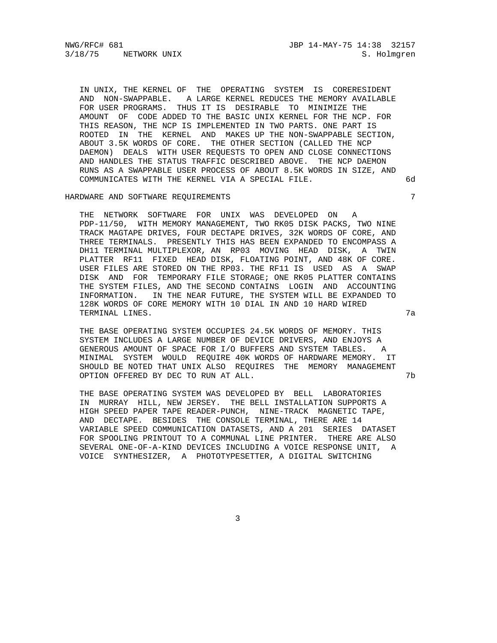NWG/RFC# 681 JBP 14-MAY-75 14:38 32157

 IN UNIX, THE KERNEL OF THE OPERATING SYSTEM IS CORERESIDENT AND NON-SWAPPABLE. A LARGE KERNEL REDUCES THE MEMORY AVAILABLE FOR USER PROGRAMS. THUS IT IS DESIRABLE TO MINIMIZE THE AMOUNT OF CODE ADDED TO THE BASIC UNIX KERNEL FOR THE NCP. FOR THIS REASON, THE NCP IS IMPLEMENTED IN TWO PARTS. ONE PART IS ROOTED IN THE KERNEL AND MAKES UP THE NON-SWAPPABLE SECTION, ABOUT 3.5K WORDS OF CORE. THE OTHER SECTION (CALLED THE NCP DAEMON) DEALS WITH USER REQUESTS TO OPEN AND CLOSE CONNECTIONS AND HANDLES THE STATUS TRAFFIC DESCRIBED ABOVE. THE NCP DAEMON RUNS AS A SWAPPABLE USER PROCESS OF ABOUT 8.5K WORDS IN SIZE, AND COMMUNICATES WITH THE KERNEL VIA A SPECIAL FILE. 6d

# HARDWARE AND SOFTWARE REQUIREMENTS 7

 THE NETWORK SOFTWARE FOR UNIX WAS DEVELOPED ON A PDP-11/50, WITH MEMORY MANAGEMENT, TWO RK05 DISK PACKS, TWO NINE TRACK MAGTAPE DRIVES, FOUR DECTAPE DRIVES, 32K WORDS OF CORE, AND THREE TERMINALS. PRESENTLY THIS HAS BEEN EXPANDED TO ENCOMPASS A DH11 TERMINAL MULTIPLEXOR, AN RP03 MOVING HEAD DISK, A TWIN PLATTER RF11 FIXED HEAD DISK, FLOATING POINT, AND 48K OF CORE. USER FILES ARE STORED ON THE RP03. THE RF11 IS USED AS A SWAP DISK AND FOR TEMPORARY FILE STORAGE; ONE RK05 PLATTER CONTAINS THE SYSTEM FILES, AND THE SECOND CONTAINS LOGIN AND ACCOUNTING INFORMATION. IN THE NEAR FUTURE, THE SYSTEM WILL BE EXPANDED TO 128K WORDS OF CORE MEMORY WITH 10 DIAL IN AND 10 HARD WIRED TERMINAL LINES. 7a

 THE BASE OPERATING SYSTEM OCCUPIES 24.5K WORDS OF MEMORY. THIS SYSTEM INCLUDES A LARGE NUMBER OF DEVICE DRIVERS, AND ENJOYS A GENEROUS AMOUNT OF SPACE FOR I/O BUFFERS AND SYSTEM TABLES. A MINIMAL SYSTEM WOULD REQUIRE 40K WORDS OF HARDWARE MEMORY. IT SHOULD BE NOTED THAT UNIX ALSO REQUIRES THE MEMORY MANAGEMENT OPTION OFFERED BY DEC TO RUN AT ALL.  $7b$ 

 THE BASE OPERATING SYSTEM WAS DEVELOPED BY BELL LABORATORIES IN MURRAY HILL, NEW JERSEY. THE BELL INSTALLATION SUPPORTS A HIGH SPEED PAPER TAPE READER-PUNCH, NINE-TRACK MAGNETIC TAPE, AND DECTAPE. BESIDES THE CONSOLE TERMINAL, THERE ARE 14 VARIABLE SPEED COMMUNICATION DATASETS, AND A 201 SERIES DATASET FOR SPOOLING PRINTOUT TO A COMMUNAL LINE PRINTER. THERE ARE ALSO SEVERAL ONE-OF-A-KIND DEVICES INCLUDING A VOICE RESPONSE UNIT, A VOICE SYNTHESIZER, A PHOTOTYPESETTER, A DIGITAL SWITCHING

3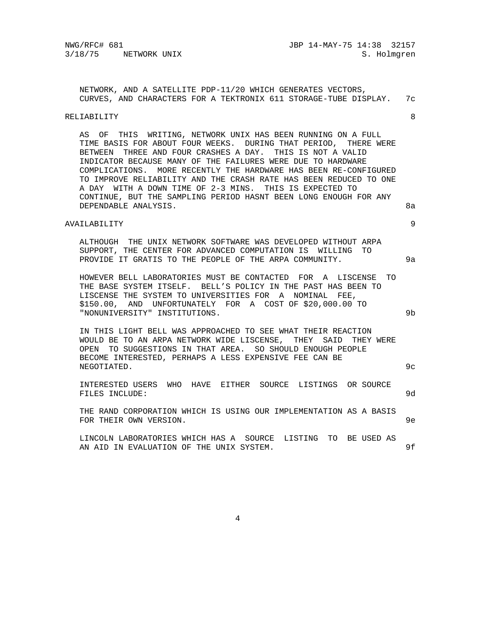NETWORK, AND A SATELLITE PDP-11/20 WHICH GENERATES VECTORS, CURVES, AND CHARACTERS FOR A TEKTRONIX 611 STORAGE-TUBE DISPLAY. 7c

#### RELIABILITY 8

 AS OF THIS WRITING, NETWORK UNIX HAS BEEN RUNNING ON A FULL TIME BASIS FOR ABOUT FOUR WEEKS. DURING THAT PERIOD, THERE WERE BETWEEN THREE AND FOUR CRASHES A DAY. THIS IS NOT A VALID INDICATOR BECAUSE MANY OF THE FAILURES WERE DUE TO HARDWARE COMPLICATIONS. MORE RECENTLY THE HARDWARE HAS BEEN RE-CONFIGURED TO IMPROVE RELIABILITY AND THE CRASH RATE HAS BEEN REDUCED TO ONE A DAY WITH A DOWN TIME OF 2-3 MINS. THIS IS EXPECTED TO CONTINUE, BUT THE SAMPLING PERIOD HASNT BEEN LONG ENOUGH FOR ANY DEPENDABLE ANALYSIS. 8a

## AVAILABILITY 9

 ALTHOUGH THE UNIX NETWORK SOFTWARE WAS DEVELOPED WITHOUT ARPA SUPPORT, THE CENTER FOR ADVANCED COMPUTATION IS WILLING TO PROVIDE IT GRATIS TO THE PEOPLE OF THE ARPA COMMUNITY. 9a

 HOWEVER BELL LABORATORIES MUST BE CONTACTED FOR A LISCENSE TO THE BASE SYSTEM ITSELF. BELL'S POLICY IN THE PAST HAS BEEN TO LISCENSE THE SYSTEM TO UNIVERSITIES FOR A NOMINAL FEE, \$150.00, AND UNFORTUNATELY FOR A COST OF \$20,000.00 TO "NONUNIVERSITY" INSTITUTIONS. 9b

 IN THIS LIGHT BELL WAS APPROACHED TO SEE WHAT THEIR REACTION WOULD BE TO AN ARPA NETWORK WIDE LISCENSE, THEY SAID THEY WERE OPEN TO SUGGESTIONS IN THAT AREA. SO SHOULD ENOUGH PEOPLE BECOME INTERESTED, PERHAPS A LESS EXPENSIVE FEE CAN BE NEGOTIATED. 9c

 INTERESTED USERS WHO HAVE EITHER SOURCE LISTINGS OR SOURCE FILES INCLUDE: 9d

 THE RAND CORPORATION WHICH IS USING OUR IMPLEMENTATION AS A BASIS FOR THEIR OWN VERSION. SEE A SERVICE SERVICE SERVICE SERVICE SERVICE SERVICE SERVICE SERVICE SERVICE SERVICE SERVICE SERVICE SERVICE SERVICE SERVICE SERVICE SERVICE SERVICE SERVICE SERVICE SERVICE SERVICE SERVICE SERVICE S

 LINCOLN LABORATORIES WHICH HAS A SOURCE LISTING TO BE USED AS AN AID IN EVALUATION OF THE UNIX SYSTEM.  $9f$ 

4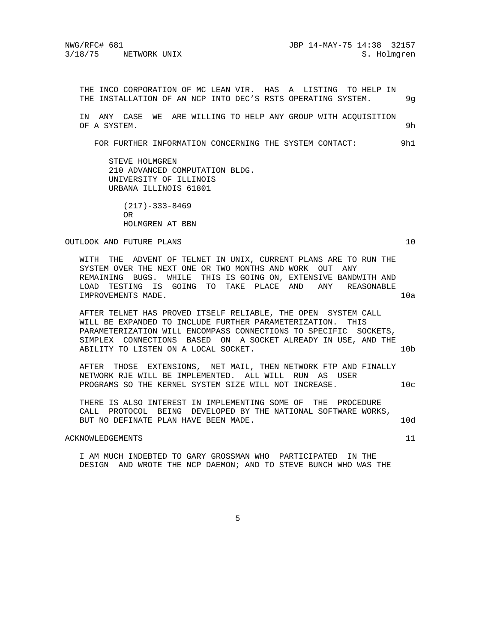THE INCO CORPORATION OF MC LEAN VIR. HAS A LISTING TO HELP IN THE INSTALLATION OF AN NCP INTO DEC'S RSTS OPERATING SYSTEM. 9g

 IN ANY CASE WE ARE WILLING TO HELP ANY GROUP WITH ACQUISITION OF A SYSTEM. 9h

FOR FURTHER INFORMATION CONCERNING THE SYSTEM CONTACT: 9h1

 STEVE HOLMGREN 210 ADVANCED COMPUTATION BLDG. UNIVERSITY OF ILLINOIS URBANA ILLINOIS 61801

 (217)-333-8469 OR HOLMGREN AT BBN

OUTLOOK AND FUTURE PLANS 10

 WITH THE ADVENT OF TELNET IN UNIX, CURRENT PLANS ARE TO RUN THE SYSTEM OVER THE NEXT ONE OR TWO MONTHS AND WORK OUT ANY REMAINING BUGS. WHILE THIS IS GOING ON, EXTENSIVE BANDWITH AND LOAD TESTING IS GOING TO TAKE PLACE AND ANY REASONABLE IMPROVEMENTS MADE. 10a

 AFTER TELNET HAS PROVED ITSELF RELIABLE, THE OPEN SYSTEM CALL WILL BE EXPANDED TO INCLUDE FURTHER PARAMETERIZATION. THIS PARAMETERIZATION WILL ENCOMPASS CONNECTIONS TO SPECIFIC SOCKETS, SIMPLEX CONNECTIONS BASED ON A SOCKET ALREADY IN USE, AND THE ABILITY TO LISTEN ON A LOCAL SOCKET. 10b

 AFTER THOSE EXTENSIONS, NET MAIL, THEN NETWORK FTP AND FINALLY NETWORK RJE WILL BE IMPLEMENTED. ALL WILL RUN AS USER PROGRAMS SO THE KERNEL SYSTEM SIZE WILL NOT INCREASE.  $10c$ 

 THERE IS ALSO INTEREST IN IMPLEMENTING SOME OF THE PROCEDURE CALL PROTOCOL BEING DEVELOPED BY THE NATIONAL SOFTWARE WORKS, BUT NO DEFINATE PLAN HAVE BEEN MADE. 10d

### ACKNOWLEDGEMENTS 11

 I AM MUCH INDEBTED TO GARY GROSSMAN WHO PARTICIPATED IN THE DESIGN AND WROTE THE NCP DAEMON; AND TO STEVE BUNCH WHO WAS THE

 $\sim$  5